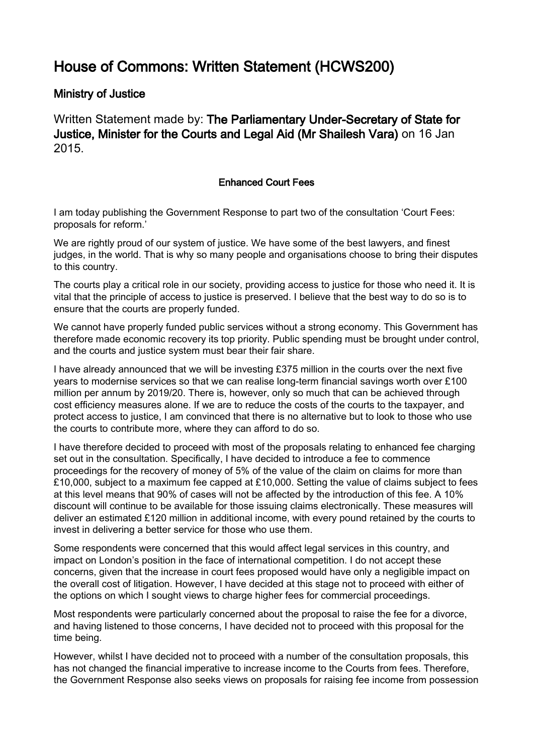## House of Commons: Written Statement (HCWS200)

## Ministry of Justice

Written Statement made by: The Parliamentary Under-Secretary of State for Justice, Minister for the Courts and Legal Aid (Mr Shailesh Vara) on 16 Jan 2015.

## Enhanced Court Fees

I am today publishing the Government Response to part two of the consultation 'Court Fees: proposals for reform.'

We are rightly proud of our system of justice. We have some of the best lawyers, and finest judges, in the world. That is why so many people and organisations choose to bring their disputes to this country.

The courts play a critical role in our society, providing access to justice for those who need it. It is vital that the principle of access to justice is preserved. I believe that the best way to do so is to ensure that the courts are properly funded.

We cannot have properly funded public services without a strong economy. This Government has therefore made economic recovery its top priority. Public spending must be brought under control, and the courts and justice system must bear their fair share.

I have already announced that we will be investing £375 million in the courts over the next five years to modernise services so that we can realise long-term financial savings worth over £100 million per annum by 2019/20. There is, however, only so much that can be achieved through cost efficiency measures alone. If we are to reduce the costs of the courts to the taxpayer, and protect access to justice, I am convinced that there is no alternative but to look to those who use the courts to contribute more, where they can afford to do so.

I have therefore decided to proceed with most of the proposals relating to enhanced fee charging set out in the consultation. Specifically, I have decided to introduce a fee to commence proceedings for the recovery of money of 5% of the value of the claim on claims for more than £10,000, subject to a maximum fee capped at £10,000. Setting the value of claims subject to fees at this level means that 90% of cases will not be affected by the introduction of this fee. A 10% discount will continue to be available for those issuing claims electronically. These measures will deliver an estimated £120 million in additional income, with every pound retained by the courts to invest in delivering a better service for those who use them.

Some respondents were concerned that this would affect legal services in this country, and impact on London's position in the face of international competition. I do not accept these concerns, given that the increase in court fees proposed would have only a negligible impact on the overall cost of litigation. However, I have decided at this stage not to proceed with either of the options on which I sought views to charge higher fees for commercial proceedings.

Most respondents were particularly concerned about the proposal to raise the fee for a divorce, and having listened to those concerns, I have decided not to proceed with this proposal for the time being.

However, whilst I have decided not to proceed with a number of the consultation proposals, this has not changed the financial imperative to increase income to the Courts from fees. Therefore, the Government Response also seeks views on proposals for raising fee income from possession